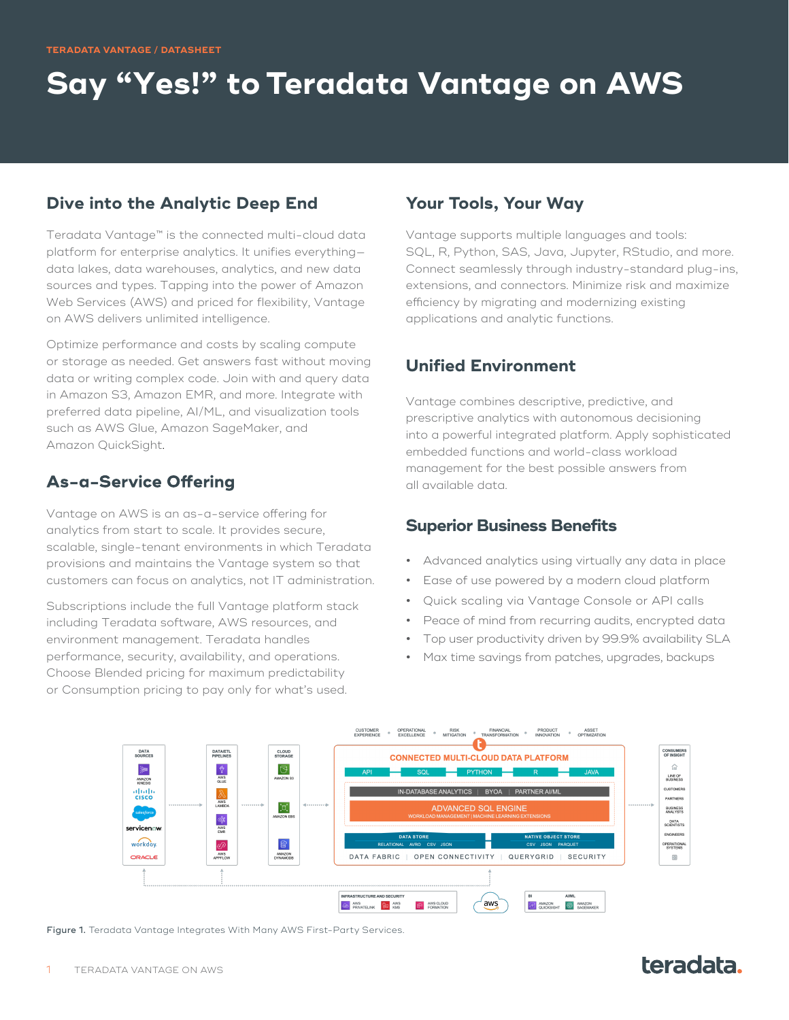# **Say "Yes!" to Teradata Vantage on AWS**

#### **Dive into the Analytic Deep End**

Teradata Vantage™ is the connected multi-cloud data platform for enterprise analytics. It unifies everything data lakes, data warehouses, analytics, and new data sources and types. Tapping into the power of Amazon Web Services (AWS) and priced for flexibility, Vantage on AWS delivers unlimited intelligence.

Optimize performance and costs by scaling compute or storage as needed. Get answers fast without moving data or writing complex code. Join with and query data in Amazon S3, Amazon EMR, and more. Integrate with preferred data pipeline, AI/ML, and visualization tools such as AWS Glue, Amazon SageMaker, and Amazon QuickSight.

### **As-a-Service Offering**

Vantage on AWS is an as-a-service offering for analytics from start to scale. It provides secure, scalable, single-tenant environments in which Teradata provisions and maintains the Vantage system so that customers can focus on analytics, not IT administration.

Subscriptions include the full Vantage platform stack including Teradata software, AWS resources, and environment management. Teradata handles performance, security, availability, and operations. Choose Blended pricing for maximum predictability or Consumption pricing to pay only for what's used.

#### **Your Tools, Your Way**

Vantage supports multiple languages and tools: SQL, R, Python, SAS, Java, Jupyter, RStudio, and more. Connect seamlessly through industry-standard plug-ins, extensions, and connectors. Minimize risk and maximize efficiency by migrating and modernizing existing applications and analytic functions.

### **Unified Environment**

Vantage combines descriptive, predictive, and prescriptive analytics with autonomous decisioning into a powerful integrated platform. Apply sophisticated embedded functions and world-class workload management for the best possible answers from all available data.

#### **Superior Business Benefits**

- **•** Advanced analytics using virtually any data in place
- **•** Ease of use powered by a modern cloud platform
- **•** Quick scaling via Vantage Console or API calls
- **•** Peace of mind from recurring audits, encrypted data
- **•** Top user productivity driven by 99.9% availability SLA
- **•** Max time savings from patches, upgrades, backups



Figure 1. Teradata Vantage Integrates With Many AWS First-Party Services.

#### TERADATA VANTAGE ON AWS

## teradata.